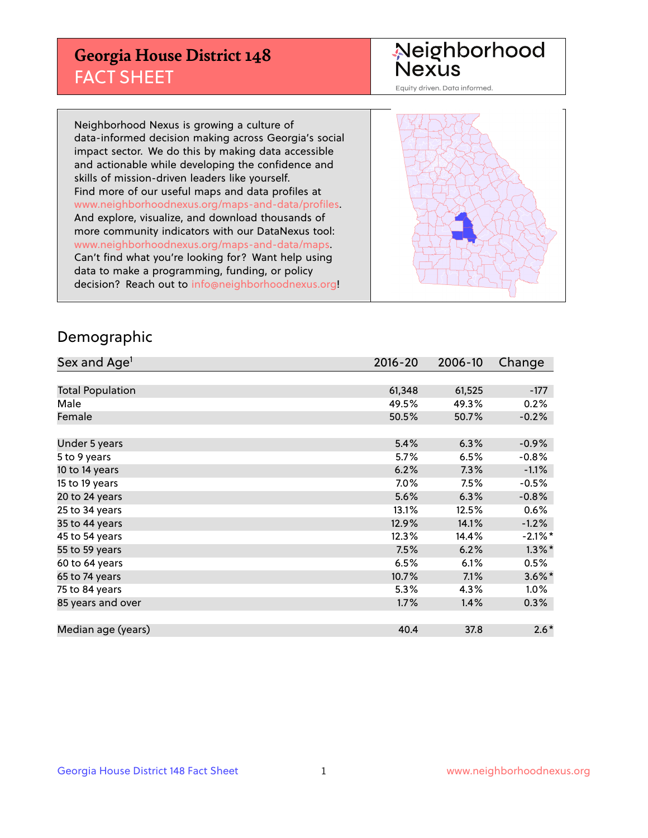## **Georgia House District 148** FACT SHEET

# Neighborhood<br>Nexus

Equity driven. Data informed.

Neighborhood Nexus is growing a culture of data-informed decision making across Georgia's social impact sector. We do this by making data accessible and actionable while developing the confidence and skills of mission-driven leaders like yourself. Find more of our useful maps and data profiles at www.neighborhoodnexus.org/maps-and-data/profiles. And explore, visualize, and download thousands of more community indicators with our DataNexus tool: www.neighborhoodnexus.org/maps-and-data/maps. Can't find what you're looking for? Want help using data to make a programming, funding, or policy decision? Reach out to [info@neighborhoodnexus.org!](mailto:info@neighborhoodnexus.org)



### Demographic

| Sex and Age <sup>1</sup> | 2016-20 | 2006-10 | Change     |
|--------------------------|---------|---------|------------|
|                          |         |         |            |
| <b>Total Population</b>  | 61,348  | 61,525  | $-177$     |
| Male                     | 49.5%   | 49.3%   | 0.2%       |
| Female                   | 50.5%   | 50.7%   | $-0.2%$    |
|                          |         |         |            |
| Under 5 years            | 5.4%    | 6.3%    | $-0.9%$    |
| 5 to 9 years             | 5.7%    | 6.5%    | $-0.8%$    |
| 10 to 14 years           | 6.2%    | 7.3%    | $-1.1%$    |
| 15 to 19 years           | 7.0%    | 7.5%    | $-0.5%$    |
| 20 to 24 years           | 5.6%    | 6.3%    | $-0.8%$    |
| 25 to 34 years           | 13.1%   | 12.5%   | $0.6\%$    |
| 35 to 44 years           | 12.9%   | 14.1%   | $-1.2%$    |
| 45 to 54 years           | 12.3%   | 14.4%   | $-2.1\%$ * |
| 55 to 59 years           | 7.5%    | 6.2%    | $1.3\%$ *  |
| 60 to 64 years           | 6.5%    | 6.1%    | 0.5%       |
| 65 to 74 years           | 10.7%   | 7.1%    | $3.6\%$ *  |
| 75 to 84 years           | 5.3%    | 4.3%    | $1.0\%$    |
| 85 years and over        | 1.7%    | 1.4%    | 0.3%       |
|                          |         |         |            |
| Median age (years)       | 40.4    | 37.8    | $2.6*$     |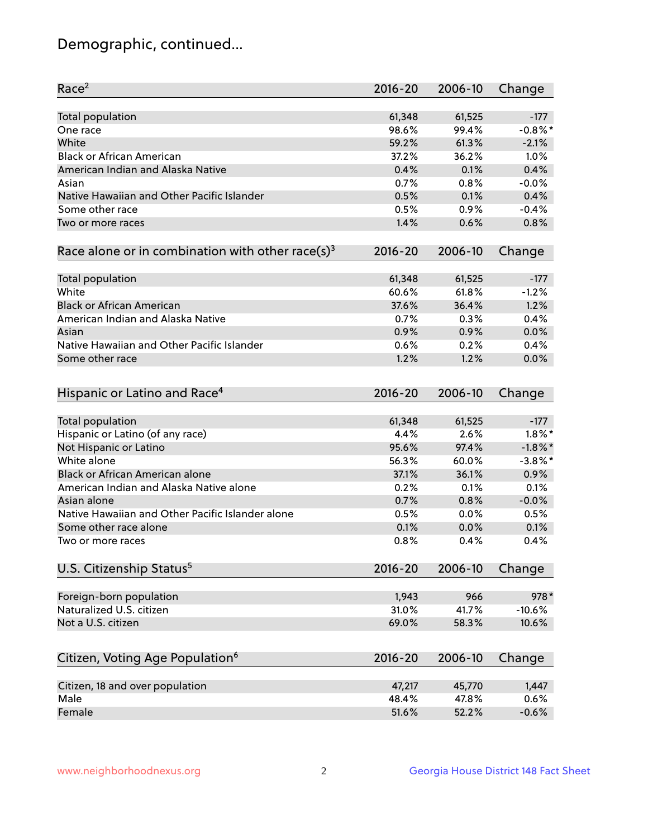## Demographic, continued...

| Race <sup>2</sup>                                            | $2016 - 20$ | 2006-10 | Change     |
|--------------------------------------------------------------|-------------|---------|------------|
| <b>Total population</b>                                      | 61,348      | 61,525  | $-177$     |
| One race                                                     | 98.6%       | 99.4%   | $-0.8\%$ * |
| White                                                        | 59.2%       | 61.3%   | $-2.1%$    |
| <b>Black or African American</b>                             | 37.2%       | 36.2%   | 1.0%       |
| American Indian and Alaska Native                            | 0.4%        | 0.1%    | 0.4%       |
| Asian                                                        | 0.7%        | 0.8%    | $-0.0%$    |
| Native Hawaiian and Other Pacific Islander                   | 0.5%        | 0.1%    | 0.4%       |
| Some other race                                              | 0.5%        | 0.9%    | $-0.4%$    |
| Two or more races                                            | 1.4%        | 0.6%    | 0.8%       |
|                                                              |             |         |            |
| Race alone or in combination with other race(s) <sup>3</sup> | $2016 - 20$ | 2006-10 | Change     |
|                                                              |             |         |            |
| <b>Total population</b>                                      | 61,348      | 61,525  | $-177$     |
| White                                                        | 60.6%       | 61.8%   | $-1.2%$    |
| <b>Black or African American</b>                             | 37.6%       | 36.4%   | 1.2%       |
| American Indian and Alaska Native                            | 0.7%        | 0.3%    | 0.4%       |
| Asian                                                        | 0.9%        | 0.9%    | 0.0%       |
| Native Hawaiian and Other Pacific Islander                   | 0.6%        | 0.2%    | 0.4%       |
| Some other race                                              | 1.2%        | 1.2%    | 0.0%       |
| Hispanic or Latino and Race <sup>4</sup>                     | 2016-20     | 2006-10 | Change     |
| <b>Total population</b>                                      | 61,348      | 61,525  | $-177$     |
|                                                              | 4.4%        | 2.6%    | $1.8\%$ *  |
| Hispanic or Latino (of any race)                             | 95.6%       |         |            |
| Not Hispanic or Latino                                       |             | 97.4%   | $-1.8\%$ * |
| White alone                                                  | 56.3%       | 60.0%   | $-3.8\%$ * |
| <b>Black or African American alone</b>                       | 37.1%       | 36.1%   | 0.9%       |
| American Indian and Alaska Native alone                      | 0.2%        | 0.1%    | 0.1%       |
| Asian alone                                                  | 0.7%        | 0.8%    | $-0.0%$    |
| Native Hawaiian and Other Pacific Islander alone             | 0.5%        | 0.0%    | 0.5%       |
| Some other race alone                                        | 0.1%        | 0.0%    | 0.1%       |
| Two or more races                                            | 0.8%        | 0.4%    | 0.4%       |
| U.S. Citizenship Status <sup>5</sup>                         | 2016-20     | 2006-10 | Change     |
|                                                              |             |         |            |
| Foreign-born population                                      | 1,943       | 966     | 978*       |
| Naturalized U.S. citizen                                     | 31.0%       | 41.7%   | $-10.6%$   |
| Not a U.S. citizen                                           | 69.0%       | 58.3%   | 10.6%      |
| Citizen, Voting Age Population <sup>6</sup>                  | $2016 - 20$ | 2006-10 | Change     |
|                                                              |             |         |            |
| Citizen, 18 and over population                              | 47,217      | 45,770  | 1,447      |
| Male                                                         | 48.4%       | 47.8%   | 0.6%       |
| Female                                                       | 51.6%       | 52.2%   | $-0.6%$    |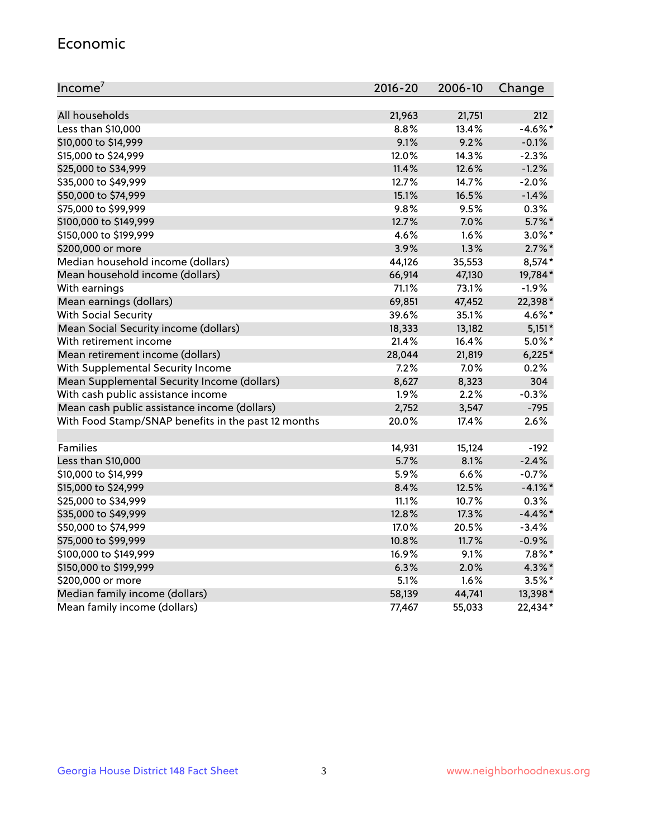#### Economic

| Income <sup>7</sup>                                 | $2016 - 20$ | 2006-10 | Change     |
|-----------------------------------------------------|-------------|---------|------------|
|                                                     |             |         |            |
| All households                                      | 21,963      | 21,751  | 212        |
| Less than \$10,000                                  | 8.8%        | 13.4%   | $-4.6%$ *  |
| \$10,000 to \$14,999                                | 9.1%        | 9.2%    | $-0.1%$    |
| \$15,000 to \$24,999                                | 12.0%       | 14.3%   | $-2.3%$    |
| \$25,000 to \$34,999                                | 11.4%       | 12.6%   | $-1.2%$    |
| \$35,000 to \$49,999                                | 12.7%       | 14.7%   | $-2.0%$    |
| \$50,000 to \$74,999                                | 15.1%       | 16.5%   | $-1.4%$    |
| \$75,000 to \$99,999                                | 9.8%        | 9.5%    | 0.3%       |
| \$100,000 to \$149,999                              | 12.7%       | 7.0%    | $5.7\%$ *  |
| \$150,000 to \$199,999                              | 4.6%        | 1.6%    | $3.0\%$ *  |
| \$200,000 or more                                   | 3.9%        | 1.3%    | $2.7\%$ *  |
| Median household income (dollars)                   | 44,126      | 35,553  | 8,574*     |
| Mean household income (dollars)                     | 66,914      | 47,130  | 19,784*    |
| With earnings                                       | 71.1%       | 73.1%   | $-1.9%$    |
| Mean earnings (dollars)                             | 69,851      | 47,452  | 22,398*    |
| <b>With Social Security</b>                         | 39.6%       | 35.1%   | 4.6%*      |
| Mean Social Security income (dollars)               | 18,333      | 13,182  | $5,151*$   |
| With retirement income                              | 21.4%       | 16.4%   | $5.0\%$ *  |
| Mean retirement income (dollars)                    | 28,044      | 21,819  | $6,225*$   |
| With Supplemental Security Income                   | $7.2\%$     | $7.0\%$ | 0.2%       |
| Mean Supplemental Security Income (dollars)         | 8,627       | 8,323   | 304        |
| With cash public assistance income                  | 1.9%        | 2.2%    | $-0.3%$    |
| Mean cash public assistance income (dollars)        | 2,752       | 3,547   | $-795$     |
| With Food Stamp/SNAP benefits in the past 12 months | 20.0%       | 17.4%   | 2.6%       |
|                                                     |             |         |            |
| Families                                            | 14,931      | 15,124  | $-192$     |
| Less than \$10,000                                  | 5.7%        | 8.1%    | $-2.4%$    |
| \$10,000 to \$14,999                                | 5.9%        | 6.6%    | $-0.7%$    |
| \$15,000 to \$24,999                                | 8.4%        | 12.5%   | $-4.1\%$ * |
| \$25,000 to \$34,999                                | 11.1%       | 10.7%   | 0.3%       |
| \$35,000 to \$49,999                                | 12.8%       | 17.3%   | $-4.4\%$ * |
| \$50,000 to \$74,999                                | 17.0%       | 20.5%   | $-3.4%$    |
| \$75,000 to \$99,999                                | 10.8%       | 11.7%   | $-0.9%$    |
| \$100,000 to \$149,999                              | 16.9%       | 9.1%    | $7.8\%$ *  |
| \$150,000 to \$199,999                              | 6.3%        | 2.0%    | 4.3%*      |
| \$200,000 or more                                   | 5.1%        | 1.6%    | $3.5%$ *   |
| Median family income (dollars)                      | 58,139      | 44,741  | 13,398*    |
| Mean family income (dollars)                        | 77,467      | 55,033  | 22,434*    |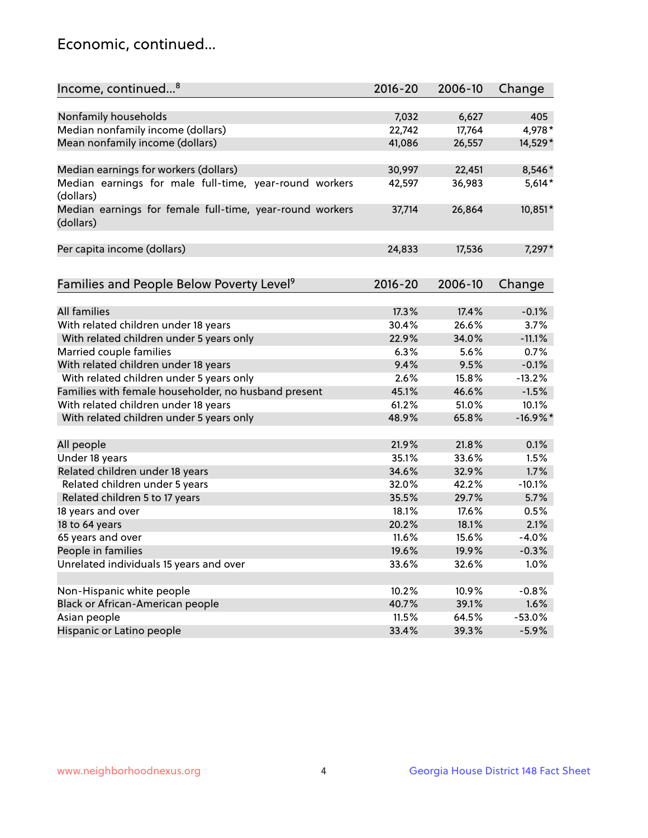## Economic, continued...

| Income, continued <sup>8</sup>                                        | $2016 - 20$ | 2006-10 | Change      |
|-----------------------------------------------------------------------|-------------|---------|-------------|
|                                                                       |             |         |             |
| Nonfamily households                                                  | 7,032       | 6,627   | 405         |
| Median nonfamily income (dollars)                                     | 22,742      | 17,764  | 4,978*      |
| Mean nonfamily income (dollars)                                       | 41,086      | 26,557  | 14,529*     |
| Median earnings for workers (dollars)                                 | 30,997      | 22,451  | 8,546*      |
| Median earnings for male full-time, year-round workers                | 42,597      | 36,983  | $5,614*$    |
| (dollars)                                                             |             |         |             |
| Median earnings for female full-time, year-round workers<br>(dollars) | 37,714      | 26,864  | 10,851*     |
| Per capita income (dollars)                                           | 24,833      | 17,536  | 7,297*      |
|                                                                       |             |         |             |
| Families and People Below Poverty Level <sup>9</sup>                  | $2016 - 20$ | 2006-10 | Change      |
|                                                                       |             |         |             |
| <b>All families</b>                                                   | 17.3%       | 17.4%   | $-0.1%$     |
| With related children under 18 years                                  | 30.4%       | 26.6%   | 3.7%        |
| With related children under 5 years only                              | 22.9%       | 34.0%   | $-11.1%$    |
| Married couple families                                               | 6.3%        | 5.6%    | 0.7%        |
| With related children under 18 years                                  | 9.4%        | 9.5%    | $-0.1%$     |
| With related children under 5 years only                              | 2.6%        | 15.8%   | $-13.2%$    |
| Families with female householder, no husband present                  | 45.1%       | 46.6%   | $-1.5%$     |
| With related children under 18 years                                  | 61.2%       | 51.0%   | 10.1%       |
| With related children under 5 years only                              | 48.9%       | 65.8%   | $-16.9\%$ * |
| All people                                                            | 21.9%       | 21.8%   | 0.1%        |
| Under 18 years                                                        | 35.1%       | 33.6%   | 1.5%        |
| Related children under 18 years                                       | 34.6%       | 32.9%   | 1.7%        |
| Related children under 5 years                                        | 32.0%       | 42.2%   | $-10.1%$    |
| Related children 5 to 17 years                                        | 35.5%       | 29.7%   | 5.7%        |
| 18 years and over                                                     | 18.1%       | 17.6%   | 0.5%        |
| 18 to 64 years                                                        | 20.2%       | 18.1%   | 2.1%        |
| 65 years and over                                                     | 11.6%       | 15.6%   | $-4.0%$     |
| People in families                                                    | 19.6%       | 19.9%   | $-0.3%$     |
| Unrelated individuals 15 years and over                               | 33.6%       |         |             |
|                                                                       |             | 32.6%   | 1.0%        |
|                                                                       |             |         |             |
| Non-Hispanic white people                                             | 10.2%       | 10.9%   | $-0.8%$     |
| Black or African-American people                                      | 40.7%       | 39.1%   | 1.6%        |
| Asian people                                                          | 11.5%       | 64.5%   | $-53.0%$    |
| Hispanic or Latino people                                             | 33.4%       | 39.3%   | $-5.9%$     |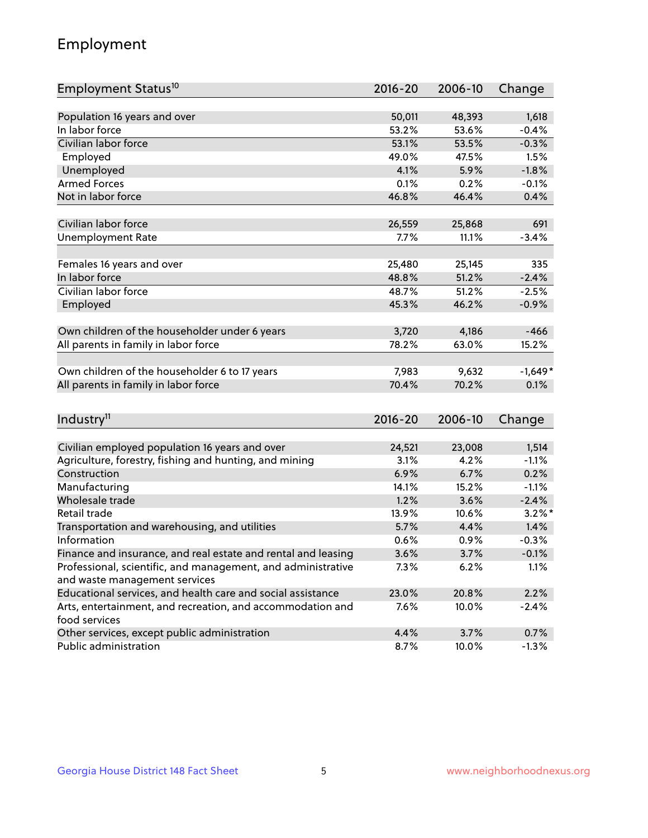## Employment

| Employment Status <sup>10</sup>                               | $2016 - 20$ | 2006-10 | Change    |
|---------------------------------------------------------------|-------------|---------|-----------|
|                                                               |             |         |           |
| Population 16 years and over                                  | 50,011      | 48,393  | 1,618     |
| In labor force                                                | 53.2%       | 53.6%   | $-0.4%$   |
| Civilian labor force                                          | 53.1%       | 53.5%   | $-0.3%$   |
| Employed                                                      | 49.0%       | 47.5%   | 1.5%      |
| Unemployed                                                    | 4.1%        | 5.9%    | $-1.8%$   |
| <b>Armed Forces</b>                                           | 0.1%        | 0.2%    | $-0.1%$   |
| Not in labor force                                            | 46.8%       | 46.4%   | 0.4%      |
|                                                               |             |         |           |
| Civilian labor force                                          | 26,559      | 25,868  | 691       |
| <b>Unemployment Rate</b>                                      | 7.7%        | 11.1%   | $-3.4%$   |
| Females 16 years and over                                     | 25,480      | 25,145  | 335       |
| In labor force                                                | 48.8%       | 51.2%   | $-2.4%$   |
| Civilian labor force                                          | 48.7%       | 51.2%   | $-2.5%$   |
| Employed                                                      | 45.3%       | 46.2%   | $-0.9%$   |
|                                                               |             |         |           |
| Own children of the householder under 6 years                 | 3,720       | 4,186   | $-466$    |
| All parents in family in labor force                          | 78.2%       | 63.0%   | 15.2%     |
|                                                               |             |         |           |
| Own children of the householder 6 to 17 years                 | 7,983       | 9,632   | $-1,649*$ |
| All parents in family in labor force                          | 70.4%       | 70.2%   | 0.1%      |
|                                                               |             |         |           |
| Industry <sup>11</sup>                                        | $2016 - 20$ | 2006-10 | Change    |
|                                                               |             |         |           |
| Civilian employed population 16 years and over                | 24,521      | 23,008  | 1,514     |
| Agriculture, forestry, fishing and hunting, and mining        | 3.1%        | 4.2%    | $-1.1%$   |
| Construction                                                  | 6.9%        | 6.7%    | 0.2%      |
| Manufacturing                                                 | 14.1%       | 15.2%   | $-1.1%$   |
| Wholesale trade                                               | 1.2%        | 3.6%    | $-2.4%$   |
| Retail trade                                                  | 13.9%       | 10.6%   | $3.2\%$ * |
| Transportation and warehousing, and utilities                 | 5.7%        | 4.4%    | 1.4%      |
| Information                                                   | 0.6%        | 0.9%    | $-0.3%$   |
| Finance and insurance, and real estate and rental and leasing | 3.6%        | 3.7%    | $-0.1%$   |
| Professional, scientific, and management, and administrative  | 7.3%        | 6.2%    | 1.1%      |
| and waste management services                                 |             |         |           |
| Educational services, and health care and social assistance   | 23.0%       | 20.8%   | 2.2%      |
| Arts, entertainment, and recreation, and accommodation and    | 7.6%        | 10.0%   | $-2.4%$   |
| food services                                                 |             |         |           |
| Other services, except public administration                  | 4.4%        | 3.7%    | 0.7%      |
| Public administration                                         | 8.7%        | 10.0%   | $-1.3%$   |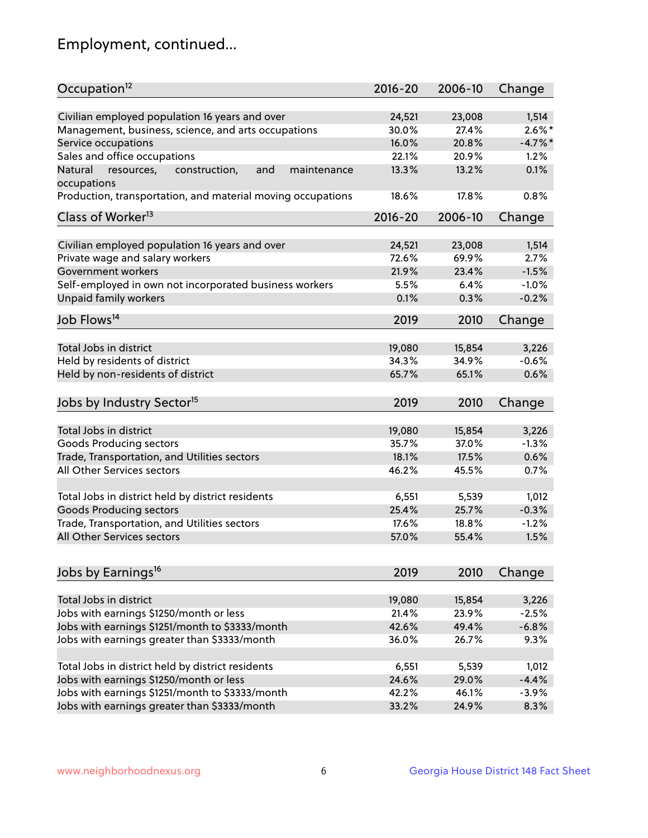## Employment, continued...

| Occupation <sup>12</sup>                                                    | $2016 - 20$ | 2006-10 | Change    |
|-----------------------------------------------------------------------------|-------------|---------|-----------|
| Civilian employed population 16 years and over                              | 24,521      |         |           |
|                                                                             |             | 23,008  | 1,514     |
| Management, business, science, and arts occupations                         | 30.0%       | 27.4%   | $2.6\%$ * |
| Service occupations                                                         | 16.0%       | 20.8%   | $-4.7%$   |
| Sales and office occupations                                                | 22.1%       | 20.9%   | 1.2%      |
| Natural<br>and<br>resources,<br>construction,<br>maintenance<br>occupations | 13.3%       | 13.2%   | 0.1%      |
| Production, transportation, and material moving occupations                 | 18.6%       | 17.8%   | 0.8%      |
| Class of Worker <sup>13</sup>                                               | $2016 - 20$ | 2006-10 | Change    |
|                                                                             | 24,521      | 23,008  |           |
| Civilian employed population 16 years and over                              |             |         | 1,514     |
| Private wage and salary workers                                             | 72.6%       | 69.9%   | 2.7%      |
| Government workers                                                          | 21.9%       | 23.4%   | $-1.5%$   |
| Self-employed in own not incorporated business workers                      | 5.5%        | 6.4%    | $-1.0%$   |
| <b>Unpaid family workers</b>                                                | 0.1%        | 0.3%    | $-0.2%$   |
| Job Flows <sup>14</sup>                                                     | 2019        | 2010    | Change    |
|                                                                             |             |         |           |
| Total Jobs in district                                                      | 19,080      | 15,854  | 3,226     |
| Held by residents of district                                               | 34.3%       | 34.9%   | $-0.6%$   |
| Held by non-residents of district                                           | 65.7%       | 65.1%   | 0.6%      |
| Jobs by Industry Sector <sup>15</sup>                                       | 2019        | 2010    | Change    |
|                                                                             |             |         |           |
| Total Jobs in district                                                      | 19,080      | 15,854  | 3,226     |
| <b>Goods Producing sectors</b>                                              | 35.7%       | 37.0%   | $-1.3%$   |
| Trade, Transportation, and Utilities sectors                                | 18.1%       | 17.5%   | 0.6%      |
| All Other Services sectors                                                  | 46.2%       | 45.5%   | 0.7%      |
| Total Jobs in district held by district residents                           | 6,551       | 5,539   | 1,012     |
| <b>Goods Producing sectors</b>                                              | 25.4%       | 25.7%   | $-0.3%$   |
| Trade, Transportation, and Utilities sectors                                | 17.6%       | 18.8%   | $-1.2%$   |
| All Other Services sectors                                                  | 57.0%       | 55.4%   | 1.5%      |
|                                                                             |             |         |           |
| Jobs by Earnings <sup>16</sup>                                              | 2019        | 2010    | Change    |
|                                                                             |             |         |           |
| Total Jobs in district                                                      | 19,080      | 15,854  | 3,226     |
| Jobs with earnings \$1250/month or less                                     | 21.4%       | 23.9%   | $-2.5%$   |
| Jobs with earnings \$1251/month to \$3333/month                             | 42.6%       | 49.4%   | $-6.8%$   |
| Jobs with earnings greater than \$3333/month                                | 36.0%       | 26.7%   | 9.3%      |
| Total Jobs in district held by district residents                           | 6,551       | 5,539   | 1,012     |
| Jobs with earnings \$1250/month or less                                     | 24.6%       | 29.0%   | $-4.4%$   |
| Jobs with earnings \$1251/month to \$3333/month                             | 42.2%       | 46.1%   | $-3.9%$   |
| Jobs with earnings greater than \$3333/month                                | 33.2%       | 24.9%   | 8.3%      |
|                                                                             |             |         |           |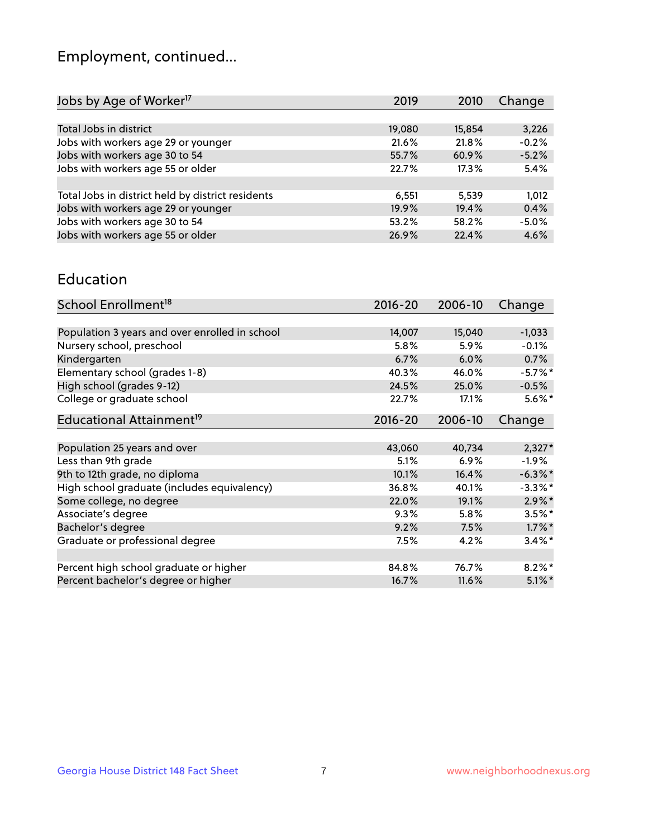## Employment, continued...

| Jobs by Age of Worker <sup>17</sup>               | 2019   | 2010   | Change  |
|---------------------------------------------------|--------|--------|---------|
|                                                   |        |        |         |
| Total Jobs in district                            | 19,080 | 15,854 | 3,226   |
| Jobs with workers age 29 or younger               | 21.6%  | 21.8%  | $-0.2%$ |
| Jobs with workers age 30 to 54                    | 55.7%  | 60.9%  | $-5.2%$ |
| Jobs with workers age 55 or older                 | 22.7%  | 17.3%  | 5.4%    |
|                                                   |        |        |         |
| Total Jobs in district held by district residents | 6,551  | 5,539  | 1,012   |
| Jobs with workers age 29 or younger               | 19.9%  | 19.4%  | 0.4%    |
| Jobs with workers age 30 to 54                    | 53.2%  | 58.2%  | $-5.0%$ |
| Jobs with workers age 55 or older                 | 26.9%  | 22.4%  | 4.6%    |

#### Education

| School Enrollment <sup>18</sup>                | $2016 - 20$ | 2006-10 | Change     |
|------------------------------------------------|-------------|---------|------------|
|                                                |             |         |            |
| Population 3 years and over enrolled in school | 14,007      | 15,040  | $-1,033$   |
| Nursery school, preschool                      | 5.8%        | 5.9%    | $-0.1%$    |
| Kindergarten                                   | 6.7%        | 6.0%    | 0.7%       |
| Elementary school (grades 1-8)                 | 40.3%       | 46.0%   | $-5.7%$ *  |
| High school (grades 9-12)                      | 24.5%       | 25.0%   | $-0.5%$    |
| College or graduate school                     | 22.7%       | 17.1%   | $5.6\%$ *  |
| Educational Attainment <sup>19</sup>           | $2016 - 20$ | 2006-10 | Change     |
|                                                |             |         |            |
| Population 25 years and over                   | 43,060      | 40,734  | $2,327*$   |
| Less than 9th grade                            | 5.1%        | 6.9%    | $-1.9%$    |
| 9th to 12th grade, no diploma                  | 10.1%       | 16.4%   | $-6.3\%$ * |
| High school graduate (includes equivalency)    | 36.8%       | 40.1%   | $-3.3\%$ * |
| Some college, no degree                        | 22.0%       | 19.1%   | $2.9\%*$   |
| Associate's degree                             | 9.3%        | 5.8%    | $3.5\%$ *  |
| Bachelor's degree                              | 9.2%        | 7.5%    | $1.7\%$ *  |
| Graduate or professional degree                | 7.5%        | 4.2%    | $3.4\%$ *  |
|                                                |             |         |            |
| Percent high school graduate or higher         | 84.8%       | 76.7%   | $8.2\%$ *  |
| Percent bachelor's degree or higher            | 16.7%       | 11.6%   | $5.1\%$ *  |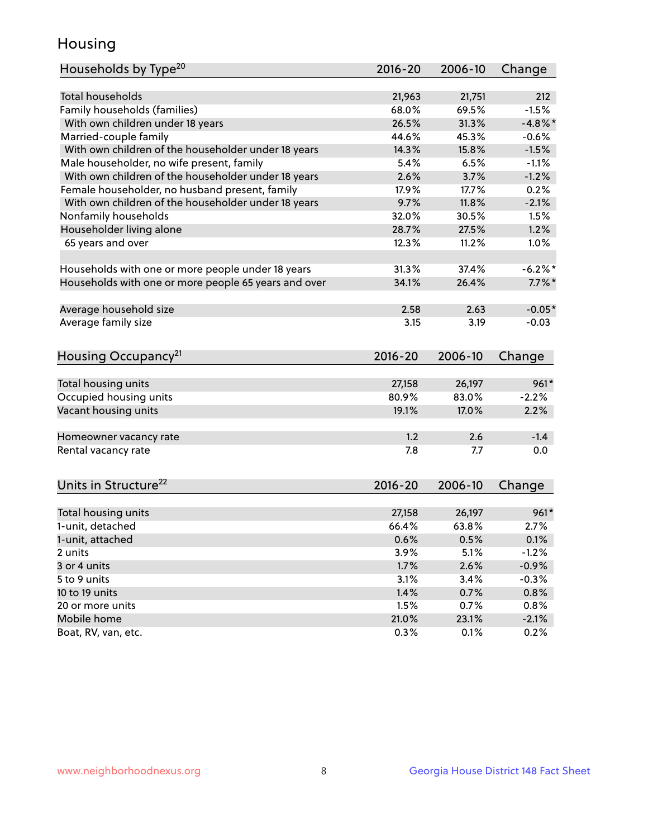## Housing

| Households by Type <sup>20</sup>                     | 2016-20       | 2006-10       | Change          |
|------------------------------------------------------|---------------|---------------|-----------------|
|                                                      |               |               |                 |
| <b>Total households</b>                              | 21,963        | 21,751        | 212             |
| Family households (families)                         | 68.0%         | 69.5%         | $-1.5%$         |
| With own children under 18 years                     | 26.5%         | 31.3%         | $-4.8\%$ *      |
| Married-couple family                                | 44.6%         | 45.3%         | $-0.6%$         |
| With own children of the householder under 18 years  | 14.3%         | 15.8%         | $-1.5%$         |
| Male householder, no wife present, family            | 5.4%          | 6.5%          | $-1.1%$         |
| With own children of the householder under 18 years  | 2.6%          | 3.7%          | $-1.2%$         |
| Female householder, no husband present, family       | 17.9%         | 17.7%         | 0.2%            |
| With own children of the householder under 18 years  | 9.7%          | 11.8%         | $-2.1%$         |
| Nonfamily households                                 | 32.0%         | 30.5%         | 1.5%            |
| Householder living alone                             | 28.7%         | 27.5%         | 1.2%            |
| 65 years and over                                    | 12.3%         | 11.2%         | 1.0%            |
|                                                      |               |               |                 |
| Households with one or more people under 18 years    | 31.3%         | 37.4%         | $-6.2%$         |
| Households with one or more people 65 years and over | 34.1%         | 26.4%         | $7.7\%$ *       |
| Average household size                               | 2.58          | 2.63          | $-0.05*$        |
| Average family size                                  | 3.15          | 3.19          | $-0.03$         |
|                                                      |               |               |                 |
| Housing Occupancy <sup>21</sup>                      | $2016 - 20$   | 2006-10       | Change          |
| Total housing units                                  | 27,158        | 26,197        | $961*$          |
| Occupied housing units                               | 80.9%         | 83.0%         | $-2.2%$         |
| Vacant housing units                                 | 19.1%         | 17.0%         | 2.2%            |
|                                                      |               |               |                 |
| Homeowner vacancy rate                               | 1.2           | 2.6           | $-1.4$          |
| Rental vacancy rate                                  | 7.8           | 7.7           | 0.0             |
|                                                      |               |               |                 |
| Units in Structure <sup>22</sup>                     | 2016-20       | 2006-10       | Change          |
| Total housing units                                  | 27,158        | 26,197        | $961*$          |
| 1-unit, detached                                     | 66.4%         | 63.8%         | 2.7%            |
| 1-unit, attached                                     | 0.6%          | 0.5%          | 0.1%            |
| 2 units                                              | 3.9%          | 5.1%          | $-1.2%$         |
| 3 or 4 units                                         | 1.7%          | 2.6%          | $-0.9%$         |
| 5 to 9 units                                         |               |               | $-0.3%$         |
| 10 to 19 units                                       | 3.1%<br>1.4%  | 3.4%          |                 |
|                                                      |               | 0.7%          | 0.8%            |
| 20 or more units<br>Mobile home                      | 1.5%<br>21.0% | 0.7%<br>23.1% | 0.8%<br>$-2.1%$ |
| Boat, RV, van, etc.                                  | 0.3%          | 0.1%          | 0.2%            |
|                                                      |               |               |                 |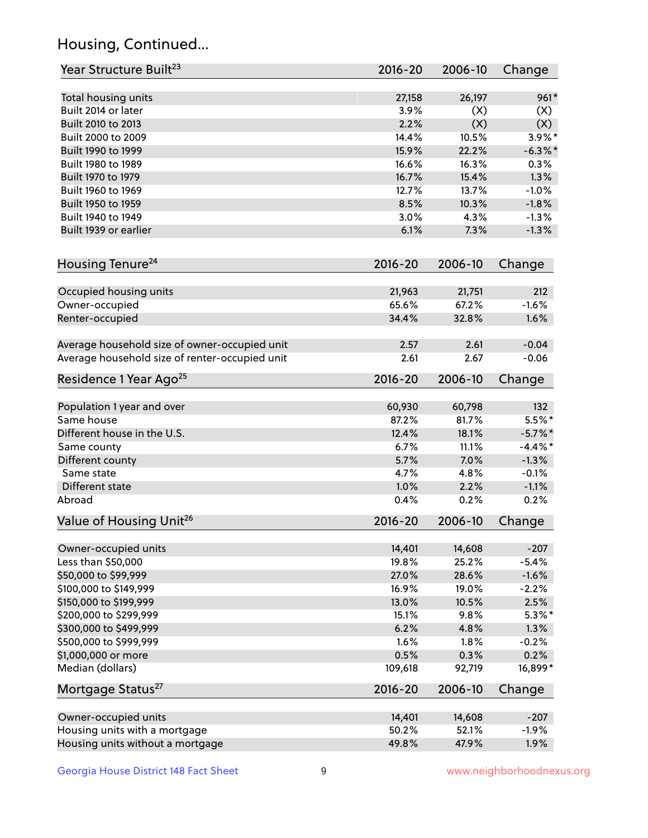## Housing, Continued...

| Year Structure Built <sup>23</sup>                    | 2016-20     | 2006-10 | Change     |
|-------------------------------------------------------|-------------|---------|------------|
| Total housing units                                   | 27,158      | 26,197  | $961*$     |
| Built 2014 or later                                   | 3.9%        | (X)     | (X)        |
| Built 2010 to 2013                                    | 2.2%        | (X)     | (X)        |
| Built 2000 to 2009                                    | 14.4%       | 10.5%   | $3.9\%$ *  |
| Built 1990 to 1999                                    | 15.9%       | 22.2%   | $-6.3\%$ * |
| Built 1980 to 1989                                    | 16.6%       | 16.3%   | 0.3%       |
| Built 1970 to 1979                                    | 16.7%       | 15.4%   | 1.3%       |
| Built 1960 to 1969                                    | 12.7%       | 13.7%   | $-1.0%$    |
| Built 1950 to 1959                                    | 8.5%        | 10.3%   | $-1.8%$    |
| Built 1940 to 1949                                    | 3.0%        | 4.3%    | $-1.3%$    |
| Built 1939 or earlier                                 | 6.1%        | 7.3%    | $-1.3%$    |
|                                                       |             |         |            |
| Housing Tenure <sup>24</sup>                          | $2016 - 20$ | 2006-10 | Change     |
| Occupied housing units                                | 21,963      | 21,751  | 212        |
| Owner-occupied                                        | 65.6%       | 67.2%   | $-1.6%$    |
| Renter-occupied                                       | 34.4%       | 32.8%   | 1.6%       |
|                                                       |             |         |            |
| Average household size of owner-occupied unit         | 2.57        | 2.61    | $-0.04$    |
| Average household size of renter-occupied unit        | 2.61        | 2.67    | $-0.06$    |
| Residence 1 Year Ago <sup>25</sup>                    | $2016 - 20$ | 2006-10 | Change     |
| Population 1 year and over                            | 60,930      | 60,798  | 132        |
| Same house                                            | 87.2%       | 81.7%   | $5.5%$ *   |
| Different house in the U.S.                           | 12.4%       | 18.1%   | $-5.7\%$ * |
| Same county                                           | 6.7%        | 11.1%   | $-4.4\%$ * |
| Different county                                      | 5.7%        | 7.0%    | $-1.3%$    |
| Same state                                            | 4.7%        | 4.8%    | $-0.1%$    |
| Different state                                       | 1.0%        | 2.2%    | $-1.1%$    |
| Abroad                                                | 0.4%        | 0.2%    | 0.2%       |
|                                                       | $2016 - 20$ | 2006-10 |            |
| Value of Housing Unit <sup>26</sup>                   |             |         | Change     |
| Owner-occupied units                                  | 14,401      | 14,608  | $-207$     |
| Less than \$50,000                                    | 19.8%       | 25.2%   | $-5.4%$    |
| \$50,000 to \$99,999                                  | 27.0%       | 28.6%   | $-1.6%$    |
| \$100,000 to \$149,999                                | 16.9%       | 19.0%   | $-2.2%$    |
| \$150,000 to \$199,999                                | 13.0%       | 10.5%   | 2.5%       |
| \$200,000 to \$299,999                                | 15.1%       | 9.8%    | $5.3\%$ *  |
| \$300,000 to \$499,999                                | 6.2%        | 4.8%    | 1.3%       |
| \$500,000 to \$999,999                                | 1.6%        | 1.8%    | $-0.2%$    |
| \$1,000,000 or more                                   | 0.5%        | 0.3%    | 0.2%       |
| Median (dollars)                                      | 109,618     | 92,719  | 16,899*    |
| Mortgage Status <sup>27</sup>                         | $2016 - 20$ | 2006-10 | Change     |
|                                                       | 14,401      | 14,608  | $-207$     |
| Owner-occupied units<br>Housing units with a mortgage | 50.2%       | 52.1%   | $-1.9%$    |
| Housing units without a mortgage                      | 49.8%       | 47.9%   |            |
|                                                       |             |         | 1.9%       |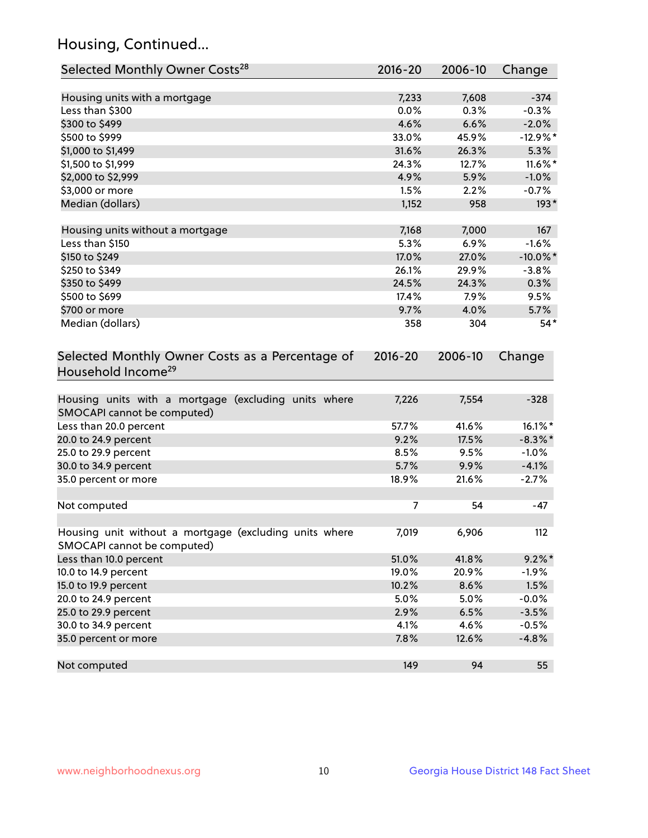## Housing, Continued...

| Selected Monthly Owner Costs <sup>28</sup>                                            | 2016-20     | 2006-10 | Change      |
|---------------------------------------------------------------------------------------|-------------|---------|-------------|
| Housing units with a mortgage                                                         | 7,233       | 7,608   | $-374$      |
| Less than \$300                                                                       | 0.0%        | 0.3%    | $-0.3%$     |
| \$300 to \$499                                                                        | 4.6%        | 6.6%    | $-2.0%$     |
| \$500 to \$999                                                                        | 33.0%       | 45.9%   | $-12.9%$ *  |
| \$1,000 to \$1,499                                                                    | 31.6%       | 26.3%   | 5.3%        |
| \$1,500 to \$1,999                                                                    | 24.3%       | 12.7%   | $11.6\%$ *  |
| \$2,000 to \$2,999                                                                    | 4.9%        | 5.9%    | $-1.0%$     |
| \$3,000 or more                                                                       | 1.5%        | 2.2%    | $-0.7%$     |
| Median (dollars)                                                                      | 1,152       | 958     | $193*$      |
|                                                                                       |             |         |             |
| Housing units without a mortgage                                                      | 7,168       | 7,000   | 167         |
| Less than \$150                                                                       | 5.3%        | 6.9%    | $-1.6%$     |
| \$150 to \$249                                                                        | 17.0%       | 27.0%   | $-10.0\%$ * |
| \$250 to \$349                                                                        | 26.1%       | 29.9%   | $-3.8%$     |
| \$350 to \$499                                                                        | 24.5%       | 24.3%   | 0.3%        |
| \$500 to \$699                                                                        | 17.4%       | 7.9%    | 9.5%        |
| \$700 or more                                                                         | 9.7%        | 4.0%    | 5.7%        |
| Median (dollars)                                                                      | 358         | 304     | $54*$       |
| Selected Monthly Owner Costs as a Percentage of<br>Household Income <sup>29</sup>     | $2016 - 20$ | 2006-10 | Change      |
| Housing units with a mortgage (excluding units where<br>SMOCAPI cannot be computed)   | 7,226       | 7,554   | $-328$      |
| Less than 20.0 percent                                                                | 57.7%       | 41.6%   | 16.1%*      |
| 20.0 to 24.9 percent                                                                  | 9.2%        | 17.5%   | $-8.3\%$ *  |
| 25.0 to 29.9 percent                                                                  | 8.5%        | 9.5%    | $-1.0%$     |
| 30.0 to 34.9 percent                                                                  | 5.7%        | 9.9%    | $-4.1%$     |
| 35.0 percent or more                                                                  | 18.9%       | 21.6%   | $-2.7%$     |
| Not computed                                                                          | 7           | 54      | -47         |
| Housing unit without a mortgage (excluding units where<br>SMOCAPI cannot be computed) | 7,019       | 6,906   | 112         |
| Less than 10.0 percent                                                                | 51.0%       | 41.8%   | $9.2\%$ *   |
| 10.0 to 14.9 percent                                                                  | 19.0%       | 20.9%   | $-1.9%$     |
| 15.0 to 19.9 percent                                                                  | 10.2%       | 8.6%    | 1.5%        |
| 20.0 to 24.9 percent                                                                  | 5.0%        | 5.0%    | $-0.0%$     |
| 25.0 to 29.9 percent                                                                  | 2.9%        | 6.5%    | $-3.5%$     |
| 30.0 to 34.9 percent                                                                  | 4.1%        | 4.6%    | $-0.5%$     |
| 35.0 percent or more                                                                  | 7.8%        | 12.6%   | $-4.8%$     |
| Not computed                                                                          | 149         | 94      | 55          |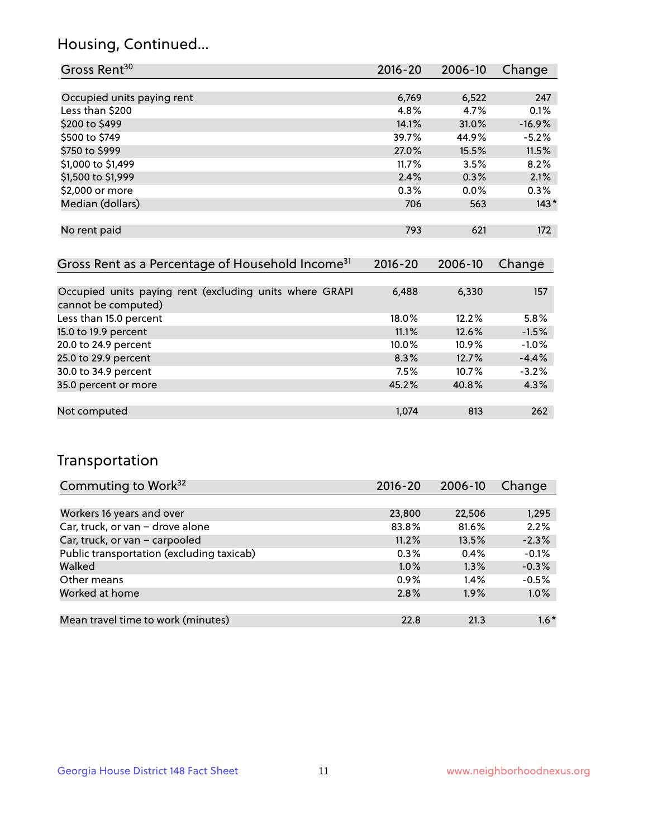## Housing, Continued...

| Gross Rent <sup>30</sup>   | $2016 - 20$ | 2006-10 | Change   |
|----------------------------|-------------|---------|----------|
|                            |             |         |          |
| Occupied units paying rent | 6,769       | 6,522   | 247      |
| Less than \$200            | 4.8%        | 4.7%    | 0.1%     |
| \$200 to \$499             | 14.1%       | 31.0%   | $-16.9%$ |
| \$500 to \$749             | 39.7%       | 44.9%   | $-5.2%$  |
| \$750 to \$999             | 27.0%       | 15.5%   | 11.5%    |
| \$1,000 to \$1,499         | 11.7%       | 3.5%    | 8.2%     |
| \$1,500 to \$1,999         | 2.4%        | 0.3%    | 2.1%     |
| \$2,000 or more            | 0.3%        | 0.0%    | 0.3%     |
| Median (dollars)           | 706         | 563     | $143*$   |
|                            |             |         |          |
| No rent paid               | 793         | 621     | 172      |
|                            |             |         |          |

| Gross Rent as a Percentage of Household Income <sup>31</sup>                   | $2016 - 20$ | 2006-10 | Change  |
|--------------------------------------------------------------------------------|-------------|---------|---------|
|                                                                                |             |         |         |
| Occupied units paying rent (excluding units where GRAPI<br>cannot be computed) | 6,488       | 6,330   | 157     |
| Less than 15.0 percent                                                         | 18.0%       | 12.2%   | 5.8%    |
| 15.0 to 19.9 percent                                                           | 11.1%       | 12.6%   | $-1.5%$ |
| 20.0 to 24.9 percent                                                           | 10.0%       | 10.9%   | $-1.0%$ |
| 25.0 to 29.9 percent                                                           | 8.3%        | 12.7%   | $-4.4%$ |
| 30.0 to 34.9 percent                                                           | 7.5%        | 10.7%   | $-3.2%$ |
| 35.0 percent or more                                                           | 45.2%       | 40.8%   | 4.3%    |
|                                                                                |             |         |         |
| Not computed                                                                   | 1,074       | 813     | 262     |

## Transportation

| Commuting to Work <sup>32</sup>           | 2016-20 | 2006-10 | Change  |
|-------------------------------------------|---------|---------|---------|
|                                           |         |         |         |
| Workers 16 years and over                 | 23,800  | 22,506  | 1,295   |
| Car, truck, or van - drove alone          | 83.8%   | 81.6%   | 2.2%    |
| Car, truck, or van - carpooled            | 11.2%   | 13.5%   | $-2.3%$ |
| Public transportation (excluding taxicab) | 0.3%    | 0.4%    | $-0.1%$ |
| Walked                                    | 1.0%    | 1.3%    | $-0.3%$ |
| Other means                               | 0.9%    | $1.4\%$ | $-0.5%$ |
| Worked at home                            | 2.8%    | 1.9%    | 1.0%    |
|                                           |         |         |         |
| Mean travel time to work (minutes)        | 22.8    | 21.3    | $1.6*$  |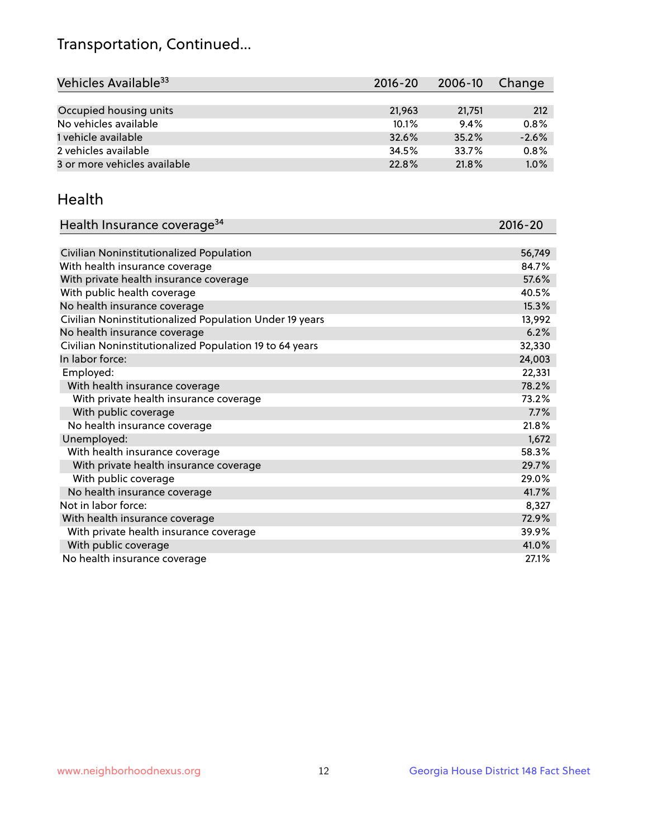## Transportation, Continued...

| Vehicles Available <sup>33</sup> | $2016 - 20$ | 2006-10 | Change  |
|----------------------------------|-------------|---------|---------|
|                                  |             |         |         |
| Occupied housing units           | 21,963      | 21,751  | 212     |
| No vehicles available            | 10.1%       | 9.4%    | 0.8%    |
| 1 vehicle available              | 32.6%       | 35.2%   | $-2.6%$ |
| 2 vehicles available             | 34.5%       | 33.7%   | 0.8%    |
| 3 or more vehicles available     | 22.8%       | 21.8%   | $1.0\%$ |

#### Health

| Health Insurance coverage <sup>34</sup>                 | 2016-20 |
|---------------------------------------------------------|---------|
|                                                         |         |
| Civilian Noninstitutionalized Population                | 56,749  |
| With health insurance coverage                          | 84.7%   |
| With private health insurance coverage                  | 57.6%   |
| With public health coverage                             | 40.5%   |
| No health insurance coverage                            | 15.3%   |
| Civilian Noninstitutionalized Population Under 19 years | 13,992  |
| No health insurance coverage                            | 6.2%    |
| Civilian Noninstitutionalized Population 19 to 64 years | 32,330  |
| In labor force:                                         | 24,003  |
| Employed:                                               | 22,331  |
| With health insurance coverage                          | 78.2%   |
| With private health insurance coverage                  | 73.2%   |
| With public coverage                                    | 7.7%    |
| No health insurance coverage                            | 21.8%   |
| Unemployed:                                             | 1,672   |
| With health insurance coverage                          | 58.3%   |
| With private health insurance coverage                  | 29.7%   |
| With public coverage                                    | 29.0%   |
| No health insurance coverage                            | 41.7%   |
| Not in labor force:                                     | 8,327   |
| With health insurance coverage                          | 72.9%   |
| With private health insurance coverage                  | 39.9%   |
| With public coverage                                    | 41.0%   |
| No health insurance coverage                            | 27.1%   |